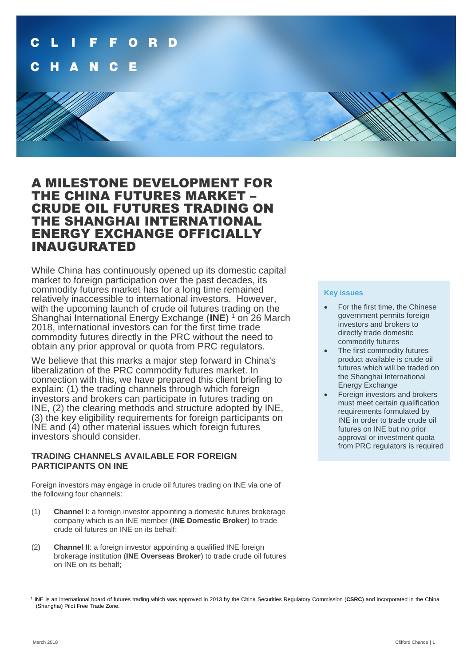

# A MILESTONE DEVELOPMENT FOR THE CHINA FUTURES MARKET – CRUDE OIL FUTURES TRADING ON THE SHANGHAI INTERNATIONAL ENERGY EXCHANGE OFFICIALLY INAUGURATED

While China has continuously opened up its domestic capital market to foreign participation over the past decades, its commodity futures market has for a long time remained relatively inaccessible to international investors. However, with the upcoming launch of crude oil futures trading on the Shanghai International Energy Exchange (**INE**) <sup>1</sup> on 26 March 2018, international investors can for the first time trade commodity futures directly in the PRC without the need to obtain any prior approval or quota from PRC regulators.

We believe that this marks a major step forward in China's liberalization of the PRC commodity futures market. In connection with this, we have prepared this client briefing to explain: (1) the trading channels through which foreign investors and brokers can participate in futures trading on INE, (2) the clearing methods and structure adopted by INE, (3) the key eligibility requirements for foreign participants on INE and (4) other material issues which foreign futures investors should consider.

## **TRADING CHANNELS AVAILABLE FOR FOREIGN PARTICIPANTS ON INE**

Foreign investors may engage in crude oil futures trading on INE via one of the following four channels:

- (1) **Channel I**: a foreign investor appointing a domestic futures brokerage company which is an INE member (**INE Domestic Broker**) to trade crude oil futures on INE on its behalf;
- (2) **Channel II**: a foreign investor appointing a qualified INE foreign brokerage institution (**INE Overseas Broker**) to trade crude oil futures on INE on its behalf;

## **Key issues**

- For the first time, the Chinese government permits foreign investors and brokers to directly trade domestic commodity futures
- The first commodity futures product available is crude oil futures which will be traded on the Shanghai International Energy Exchange
- Foreign investors and brokers must meet certain qualification requirements formulated by INE in order to trade crude oil futures on INE but no prior approval or investment quota from PRC regulators is required

 1 INE is an international board of futures trading which was approved in 2013 by the China Securities Regulatory Commission (**CSRC**) and incorporated in the China (Shanghai) Pilot Free Trade Zone.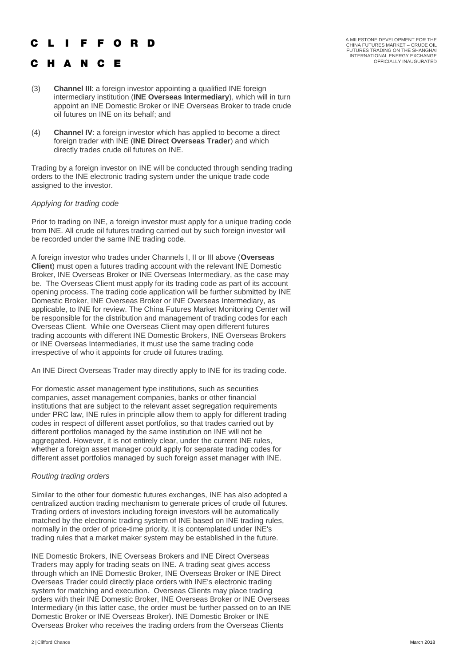## L I F F O R D

## C H A N C E

A MILESTONE DEVELOPMENT FOR THE<br>CHINA FUTURES MARKET – CRUDE OIL<br>FUTURES TRADING ON THE SHANGHAI<br>INTERNATIONAL ENERGY EXCHANGE OFFICIALLY INAUGURATED

- (3) **Channel III**: a foreign investor appointing a qualified INE foreign intermediary institution (**INE Overseas Intermediary**), which will in turn appoint an INE Domestic Broker or INE Overseas Broker to trade crude oil futures on INE on its behalf; and
- (4) **Channel IV**: a foreign investor which has applied to become a direct foreign trader with INE (**INE Direct Overseas Trader**) and which directly trades crude oil futures on INE.

Trading by a foreign investor on INE will be conducted through sending trading orders to the INE electronic trading system under the unique trade code assigned to the investor.

## *Applying for trading code*

Prior to trading on INE, a foreign investor must apply for a unique trading code from INE. All crude oil futures trading carried out by such foreign investor will be recorded under the same INE trading code.

A foreign investor who trades under Channels I, II or III above (**Overseas Client**) must open a futures trading account with the relevant INE Domestic Broker, INE Overseas Broker or INE Overseas Intermediary, as the case may be. The Overseas Client must apply for its trading code as part of its account opening process. The trading code application will be further submitted by INE Domestic Broker, INE Overseas Broker or INE Overseas Intermediary, as applicable, to INE for review. The China Futures Market Monitoring Center will be responsible for the distribution and management of trading codes for each Overseas Client. While one Overseas Client may open different futures trading accounts with different INE Domestic Brokers, INE Overseas Brokers or INE Overseas Intermediaries, it must use the same trading code irrespective of who it appoints for crude oil futures trading.

An INE Direct Overseas Trader may directly apply to INE for its trading code.

For domestic asset management type institutions, such as securities companies, asset management companies, banks or other financial institutions that are subject to the relevant asset segregation requirements under PRC law, INE rules in principle allow them to apply for different trading codes in respect of different asset portfolios, so that trades carried out by different portfolios managed by the same institution on INE will not be aggregated. However, it is not entirely clear, under the current INE rules, whether a foreign asset manager could apply for separate trading codes for different asset portfolios managed by such foreign asset manager with INE.

## *Routing trading orders*

Similar to the other four domestic futures exchanges, INE has also adopted a centralized auction trading mechanism to generate prices of crude oil futures. Trading orders of investors including foreign investors will be automatically matched by the electronic trading system of INE based on INE trading rules, normally in the order of price-time priority. It is contemplated under INE's trading rules that a market maker system may be established in the future.

INE Domestic Brokers, INE Overseas Brokers and INE Direct Overseas Traders may apply for trading seats on INE. A trading seat gives access through which an INE Domestic Broker, INE Overseas Broker or INE Direct Overseas Trader could directly place orders with INE's electronic trading system for matching and execution. Overseas Clients may place trading orders with their INE Domestic Broker, INE Overseas Broker or INE Overseas Intermediary (in this latter case, the order must be further passed on to an INE Domestic Broker or INE Overseas Broker). INE Domestic Broker or INE Overseas Broker who receives the trading orders from the Overseas Clients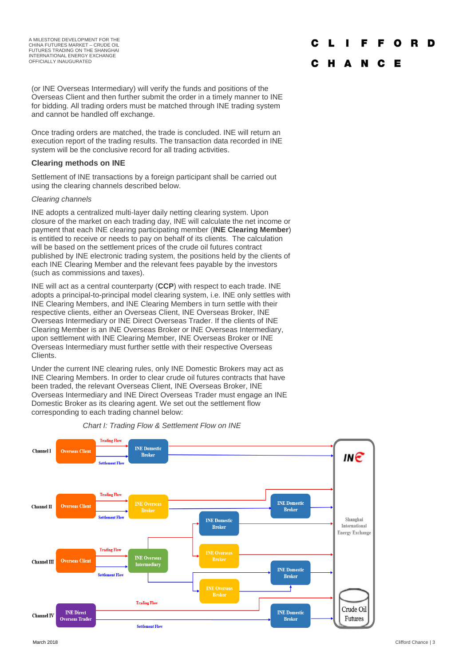(or INE Overseas Intermediary) will verify the funds and positions of the Overseas Client and then further submit the order in a timely manner to INE for bidding. All trading orders must be matched through INE trading system and cannot be handled off exchange.

Once trading orders are matched, the trade is concluded. INE will return an execution report of the trading results. The transaction data recorded in INE system will be the conclusive record for all trading activities.

## **Clearing methods on INE**

Settlement of INE transactions by a foreign participant shall be carried out using the clearing channels described below.

#### *Clearing channels*

INE adopts a centralized multi-layer daily netting clearing system. Upon closure of the market on each trading day, INE will calculate the net income or payment that each INE clearing participating member (**INE Clearing Member**) is entitled to receive or needs to pay on behalf of its clients. The calculation will be based on the settlement prices of the crude oil futures contract published by INE electronic trading system, the positions held by the clients of each INE Clearing Member and the relevant fees payable by the investors (such as commissions and taxes).

INE will act as a central counterparty (**CCP**) with respect to each trade. INE adopts a principal-to-principal model clearing system, i.e. INE only settles with INE Clearing Members, and INE Clearing Members in turn settle with their respective clients, either an Overseas Client, INE Overseas Broker, INE Overseas Intermediary or INE Direct Overseas Trader. If the clients of INE Clearing Member is an INE Overseas Broker or INE Overseas Intermediary, upon settlement with INE Clearing Member, INE Overseas Broker or INE Overseas Intermediary must further settle with their respective Overseas Clients.

Under the current INE clearing rules, only INE Domestic Brokers may act as INE Clearing Members. In order to clear crude oil futures contracts that have been traded, the relevant Overseas Client, INE Overseas Broker, INE Overseas Intermediary and INE Direct Overseas Trader must engage an INE Domestic Broker as its clearing agent. We set out the settlement flow corresponding to each trading channel below:



#### *Chart I: Trading Flow & Settlement Flow on INE*

#### F F O R D

#### C H A N C E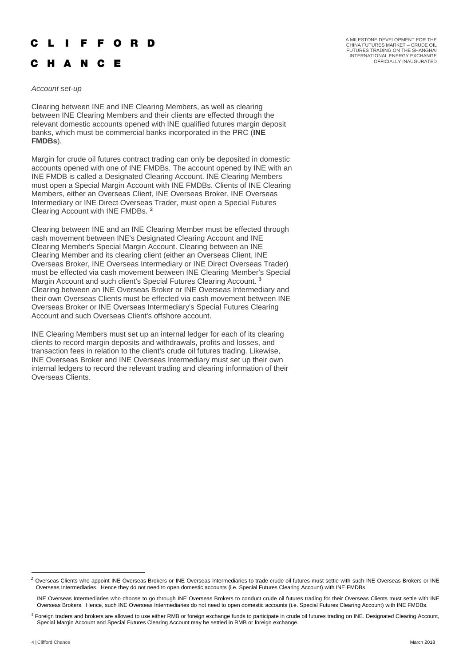## **IFFORD**

## C H A N C E

*Account set-up*

Clearing between INE and INE Clearing Members, as well as clearing between INE Clearing Members and their clients are effected through the relevant domestic accounts opened with INE qualified futures margin deposit banks, which must be commercial banks incorporated in the PRC (**INE FMDBs**).

Margin for crude oil futures contract trading can only be deposited in domestic accounts opened with one of INE FMDBs. The account opened by INE with an INE FMDB is called a Designated Clearing Account. INE Clearing Members must open a Special Margin Account with INE FMDBs. Clients of INE Clearing Members, either an Overseas Client, INE Overseas Broker, INE Overseas Intermediary or INE Direct Overseas Trader, must open a Special Futures Clearing Account with INE FMDBs. **<sup>2</sup>**

Clearing between INE and an INE Clearing Member must be effected through cash movement between INE's Designated Clearing Account and INE Clearing Member's Special Margin Account. Clearing between an INE Clearing Member and its clearing client (either an Overseas Client, INE Overseas Broker, INE Overseas Intermediary or INE Direct Overseas Trader) must be effected via cash movement between INE Clearing Member's Special Margin Account and such client's Special Futures Clearing Account. **<sup>3</sup>** Clearing between an INE Overseas Broker or INE Overseas Intermediary and their own Overseas Clients must be effected via cash movement between INE Overseas Broker or INE Overseas Intermediary's Special Futures Clearing Account and such Overseas Client's offshore account.

INE Clearing Members must set up an internal ledger for each of its clearing clients to record margin deposits and withdrawals, profits and losses, and transaction fees in relation to the client's crude oil futures trading. Likewise, INE Overseas Broker and INE Overseas Intermediary must set up their own internal ledgers to record the relevant trading and clearing information of their Overseas Clients.

-

 $2$  Overseas Clients who appoint INE Overseas Brokers or INE Overseas Intermediaries to trade crude oil futures must settle with such INE Overseas Brokers or INE Overseas Intermediaries. Hence they do not need to open domestic accounts (i.e. Special Futures Clearing Account) with INE FMDBs.

INE Overseas Intermediaries who choose to go through INE Overseas Brokers to conduct crude oil futures trading for their Overseas Clients must settle with INE Overseas Brokers. Hence, such INE Overseas Intermediaries do not need to open domestic accounts (i.e. Special Futures Clearing Account) with INE FMDBs.

<sup>&</sup>lt;sup>3</sup> Foreign traders and brokers are allowed to use either RMB or foreign exchange funds to participate in crude oil futures trading on INE. Designated Clearing Account, Special Margin Account and Special Futures Clearing Account may be settled in RMB or foreign exchange.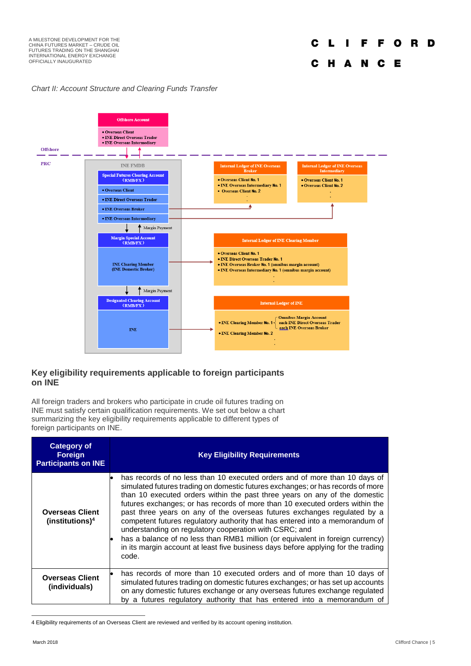## *Chart II: Account Structure and Clearing Funds Transfer*



## **Key eligibility requirements applicable to foreign participants on INE**

All foreign traders and brokers who participate in crude oil futures trading on INE must satisfy certain qualification requirements. We set out below a chart summarizing the key eligibility requirements applicable to different types of foreign participants on INE.

| <b>Category of</b><br><b>Foreign</b><br><b>Participants on INE</b> | <b>Key Eligibility Requirements</b>                                                                                                                                                                                                                                                                                                                                                                                                                                                                                                                                                                                                                                                                                               |  |  |  |
|--------------------------------------------------------------------|-----------------------------------------------------------------------------------------------------------------------------------------------------------------------------------------------------------------------------------------------------------------------------------------------------------------------------------------------------------------------------------------------------------------------------------------------------------------------------------------------------------------------------------------------------------------------------------------------------------------------------------------------------------------------------------------------------------------------------------|--|--|--|
| <b>Overseas Client</b><br>(institutions) <sup>4</sup>              | has records of no less than 10 executed orders and of more than 10 days of<br>simulated futures trading on domestic futures exchanges; or has records of more<br>than 10 executed orders within the past three years on any of the domestic<br>futures exchanges; or has records of more than 10 executed orders within the<br>past three years on any of the overseas futures exchanges regulated by a<br>competent futures regulatory authority that has entered into a memorandum of<br>understanding on regulatory cooperation with CSRC; and<br>has a balance of no less than RMB1 million (or equivalent in foreign currency)<br>in its margin account at least five business days before applying for the trading<br>code. |  |  |  |
| <b>Overseas Client</b><br>(individuals)                            | has records of more than 10 executed orders and of more than 10 days of<br>simulated futures trading on domestic futures exchanges; or has set up accounts<br>on any domestic futures exchange or any overseas futures exchange regulated<br>by a futures regulatory authority that has entered into a memorandum of                                                                                                                                                                                                                                                                                                                                                                                                              |  |  |  |

<sup>4</sup> Eligibility requirements of an Overseas Client are reviewed and verified by its account opening institution.

-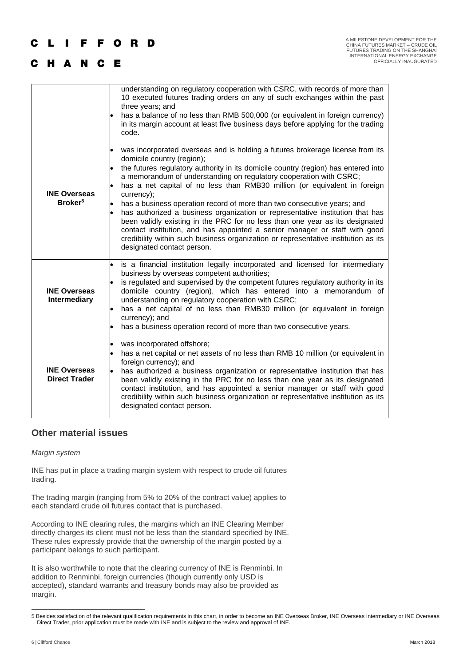## **IFFORD**

## C H A N C E

|                                             | understanding on regulatory cooperation with CSRC, with records of more than<br>10 executed futures trading orders on any of such exchanges within the past<br>three years; and<br>has a balance of no less than RMB 500,000 (or equivalent in foreign currency)<br>in its margin account at least five business days before applying for the trading<br>code.                                                                                                                                                                                                                                                                                                                                                                                                                                                   |
|---------------------------------------------|------------------------------------------------------------------------------------------------------------------------------------------------------------------------------------------------------------------------------------------------------------------------------------------------------------------------------------------------------------------------------------------------------------------------------------------------------------------------------------------------------------------------------------------------------------------------------------------------------------------------------------------------------------------------------------------------------------------------------------------------------------------------------------------------------------------|
| <b>INE Overseas</b><br>Broker <sup>5</sup>  | was incorporated overseas and is holding a futures brokerage license from its<br>domicile country (region);<br>the futures regulatory authority in its domicile country (region) has entered into<br>a memorandum of understanding on regulatory cooperation with CSRC;<br>has a net capital of no less than RMB30 million (or equivalent in foreign<br>currency);<br>has a business operation record of more than two consecutive years; and<br>has authorized a business organization or representative institution that has<br>been validly existing in the PRC for no less than one year as its designated<br>contact institution, and has appointed a senior manager or staff with good<br>credibility within such business organization or representative institution as its<br>designated contact person. |
| <b>INE Overseas</b><br><b>Intermediary</b>  | is a financial institution legally incorporated and licensed for intermediary<br>business by overseas competent authorities;<br>is regulated and supervised by the competent futures regulatory authority in its<br>domicile country (region), which has entered into a memorandum of<br>understanding on regulatory cooperation with CSRC;<br>has a net capital of no less than RMB30 million (or equivalent in foreign<br>currency); and<br>has a business operation record of more than two consecutive years.                                                                                                                                                                                                                                                                                                |
| <b>INE Overseas</b><br><b>Direct Trader</b> | was incorporated offshore;<br>has a net capital or net assets of no less than RMB 10 million (or equivalent in<br>foreign currency); and<br>has authorized a business organization or representative institution that has<br>been validly existing in the PRC for no less than one year as its designated<br>contact institution, and has appointed a senior manager or staff with good<br>credibility within such business organization or representative institution as its<br>designated contact person.                                                                                                                                                                                                                                                                                                      |

## **Other material issues**

## *Margin system*

INE has put in place a trading margin system with respect to crude oil futures trading.

The trading margin (ranging from 5% to 20% of the contract value) applies to each standard crude oil futures contact that is purchased.

According to INE clearing rules, the margins which an INE Clearing Member directly charges its client must not be less than the standard specified by INE. These rules expressly provide that the ownership of the margin posted by a participant belongs to such participant.

It is also worthwhile to note that the clearing currency of INE is Renminbi. In addition to Renminbi, foreign currencies (though currently only USD is accepted), standard warrants and treasury bonds may also be provided as margin.

 $\overline{a}$ 

<sup>5</sup> Besides satisfaction of the relevant qualification requirements in this chart, in order to become an INE Overseas Broker, INE Overseas Intermediary or INE Overseas Direct Trader, prior application must be made with INE and is subject to the review and approval of INE.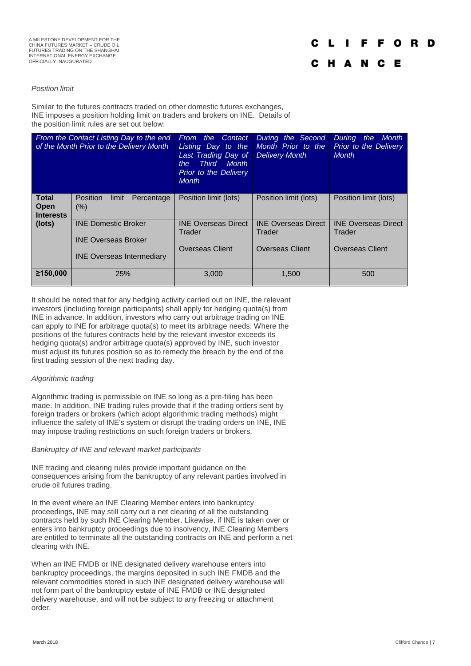#### *Position limit*

Similar to the futures contracts traded on other domestic futures exchanges, INE imposes a position holding limit on traders and brokers on INE. Details of the position limit rules are set out below:

| From the Contact Listing Day to the end<br>of the Month Prior to the Delivery Month |                                                                                              | the Contact<br>From<br>Listing Day to the<br>Last Trading Day of<br><b>Third</b><br><b>Month</b><br>the<br><b>Prior to the Delivery</b><br><b>Month</b> | During the Second<br>Month Prior to the<br><b>Delivery Month</b> | <b>During</b><br><b>Month</b><br>the<br><b>Prior to the Delivery</b><br><b>Month</b> |
|-------------------------------------------------------------------------------------|----------------------------------------------------------------------------------------------|---------------------------------------------------------------------------------------------------------------------------------------------------------|------------------------------------------------------------------|--------------------------------------------------------------------------------------|
| <b>Total</b><br>Open<br><b>Interests</b>                                            | <b>Position</b><br>limit<br>Percentage<br>$(\%)$                                             | Position limit (lots)                                                                                                                                   | Position limit (lots)                                            | Position limit (lots)                                                                |
| $($ lots $)$                                                                        | <b>INE Domestic Broker</b><br><b>INE Overseas Broker</b><br><b>INE Overseas Intermediary</b> | <b>INE Overseas Direct</b><br>Trader<br><b>Overseas Client</b>                                                                                          | <b>INE Overseas Direct</b><br>Trader<br><b>Overseas Client</b>   | <b>INE Overseas Direct</b><br>Trader<br><b>Overseas Client</b>                       |
| ≥150,000                                                                            | 25%                                                                                          | 3.000                                                                                                                                                   | 1.500                                                            | 500                                                                                  |

It should be noted that for any hedging activity carried out on INE, the relevant investors (including foreign participants) shall apply for hedging quota(s) from INE in advance. In addition, investors who carry out arbitrage trading on INE can apply to INE for arbitrage quota(s) to meet its arbitrage needs. Where the positions of the futures contracts held by the relevant investor exceeds its hedging quota(s) and/or arbitrage quota(s) approved by INE, such investor must adjust its futures position so as to remedy the breach by the end of the first trading session of the next trading day.

## *Algorithmic trading*

Algorithmic trading is permissible on INE so long as a pre-filing has been made. In addition, INE trading rules provide that if the trading orders sent by foreign traders or brokers (which adopt algorithmic trading methods) might influence the safety of INE's system or disrupt the trading orders on INE, INE may impose trading restrictions on such foreign traders or brokers.

#### *Bankruptcy of INE and relevant market participants*

INE trading and clearing rules provide important guidance on the consequences arising from the bankruptcy of any relevant parties involved in crude oil futures trading.

In the event where an INE Clearing Member enters into bankruptcy proceedings, INE may still carry out a net clearing of all the outstanding contracts held by such INE Clearing Member. Likewise, if INE is taken over or enters into bankruptcy proceedings due to insolvency, INE Clearing Members are entitled to terminate all the outstanding contracts on INE and perform a net clearing with INE.

When an INE FMDB or INE designated delivery warehouse enters into bankruptcy proceedings, the margins deposited in such INE FMDB and the relevant commodities stored in such INE designated delivery warehouse will not form part of the bankruptcy estate of INE FMDB or INE designated delivery warehouse, and will not be subject to any freezing or attachment order.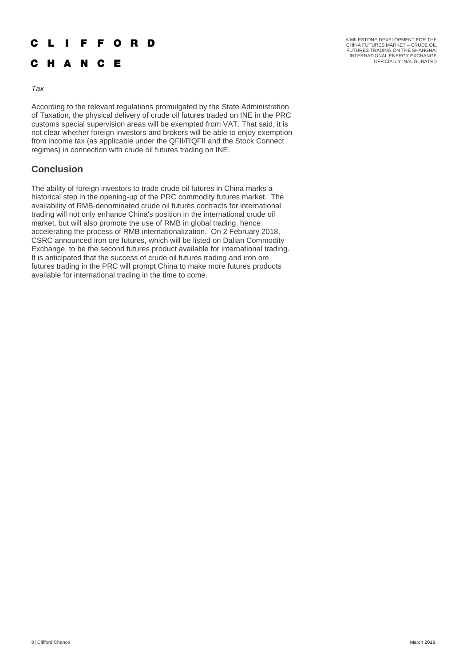#### L I F F O R D C

## C H A N C E

A MILESTONE DEVELOPMENT FOR THE<br>CHINA FUTURES MARKET – CRUDE OIL<br>FUTURES TRADING ON THE SHANGHAI<br>INTERNATIONAL ENERGY EXCHANGE OFFICIALLY INAUGURATED

#### *Tax*

According to the relevant regulations promulgated by the State Administration of Taxation, the physical delivery of crude oil futures traded on INE in the PRC customs special supervision areas will be exempted from VAT. That said, it is not clear whether foreign investors and brokers will be able to enjoy exemption from income tax (as applicable under the QFII/RQFII and the Stock Connect regimes) in connection with crude oil futures trading on INE.

## **Conclusion**

The ability of foreign investors to trade crude oil futures in China marks a historical step in the opening-up of the PRC commodity futures market. The availability of RMB-denominated crude oil futures contracts for international trading will not only enhance China's position in the international crude oil market, but will also promote the use of RMB in global trading, hence accelerating the process of RMB internationalization. On 2 February 2018, CSRC announced iron ore futures, which will be listed on Dalian Commodity Exchange, to be the second futures product available for international trading. It is anticipated that the success of crude oil futures trading and iron ore futures trading in the PRC will prompt China to make more futures products available for international trading in the time to come.